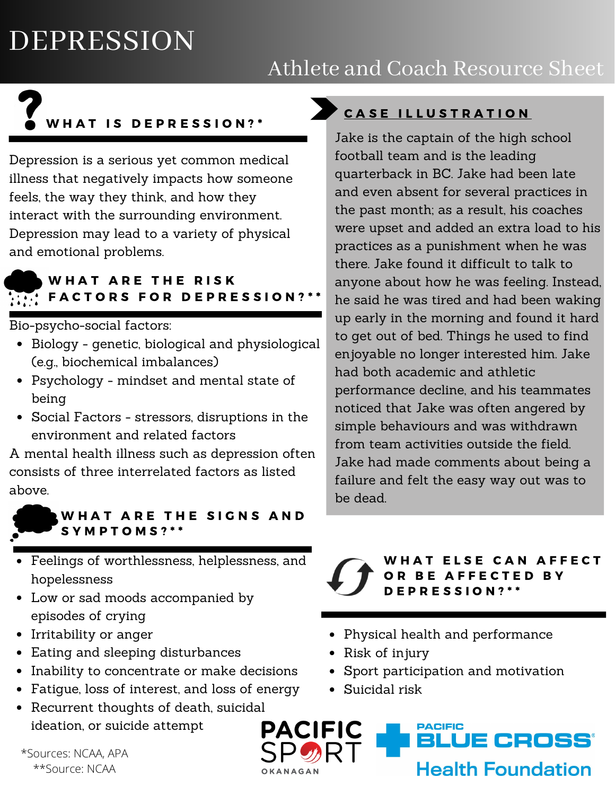## DEPRESSION

## Athlete and Coach Resource Sheet

# W H A T IS DEPRESSION ? \*

Depression is a serious yet common medical illness that negatively impacts how someone feels, the way they think, and how they interact with the surrounding environment. Depression may lead to a variety of physical and emotional problems.

#### WHAT ARE THE RISK  $\widetilde{H_{\alpha}}$  FACTORS FOR DEPRESSION? \*\*

Bio-psycho-social factors:

- Biology genetic, biological and physiological (e.g., biochemical imbalances)
- Psychology mindset and mental state of being
- Social Factors stressors, disruptions in the environment and related factors

A mental health illness such as depression often consists of three interrelated factors as listed above.



#### WHAT ARE THE SIGNS AND S Y M P T O M S ? \* \*

- Feelings of worthlessness, helplessness, and hopelessness
- Low or sad moods accompanied by episodes of crying
- Irritability or anger
- Eating and sleeping disturbances
- Inability to concentrate or make decisions
- Fatigue, loss of interest, and loss of energy
- Recurrent thoughts of death, suicidal ideation, or suicide attempt

\*Sources: NCAA, APA \*\*Source: NCAA

## CASE ILLUSTRATION

Jake is the captain of the high school football team and is the leading quarterback in BC. Jake had been late and even absent for several practices in the past month; as a result, his coaches were upset and added an extra load to his practices as a punishment when he was there. Jake found it difficult to talk to anyone about how he was feeling. Instead, he said he was tired and had been waking up early in the morning and found it hard to get out of bed. Things he used to find enjoyable no longer interested him. Jake had both academic and athletic performance decline, and his teammates noticed that Jake was often angered by simple behaviours and was withdrawn from team activities outside the field. Jake had made comments about being a failure and felt the easy way out was to be dead.

#### ELSE CAN AFFECT R BE AFFECTED BY  $E$  P R E S S I O N ? \* \*

- Physical health and performance
- Risk of injury
- Sport participation and motivation
- Suicidal risk

**PACIFIC** PACIFIC BLUE CROSS° **Health Foundation**